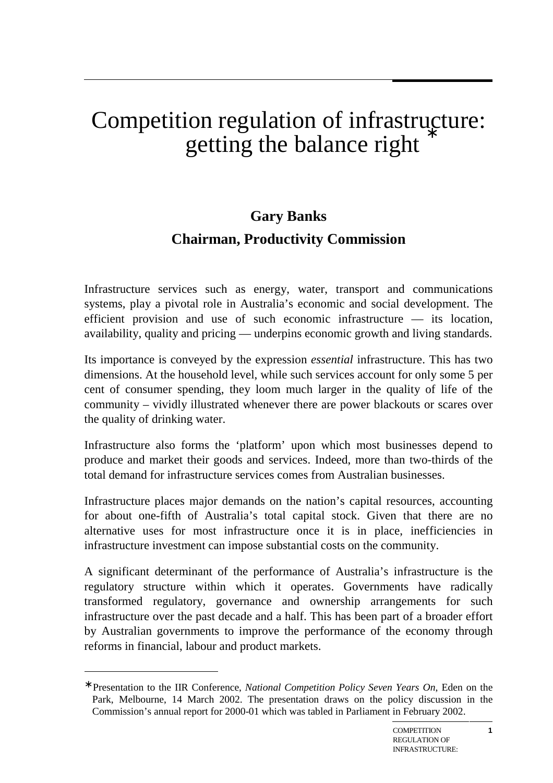# Competition regulation of infrastructure: getting the balance right

# **Gary Banks Chairman, Productivity Commission**

Infrastructure services such as energy, water, transport and communications systems, play a pivotal role in Australia's economic and social development. The efficient provision and use of such economic infrastructure — its location, availability, quality and pricing — underpins economic growth and living standards.

Its importance is conveyed by the expression *essential* infrastructure. This has two dimensions. At the household level, while such services account for only some 5 per cent of consumer spending, they loom much larger in the quality of life of the community – vividly illustrated whenever there are power blackouts or scares over the quality of drinking water.

Infrastructure also forms the 'platform' upon which most businesses depend to produce and market their goods and services. Indeed, more than two-thirds of the total demand for infrastructure services comes from Australian businesses.

Infrastructure places major demands on the nation's capital resources, accounting for about one-fifth of Australia's total capital stock. Given that there are no alternative uses for most infrastructure once it is in place, inefficiencies in infrastructure investment can impose substantial costs on the community.

A significant determinant of the performance of Australia's infrastructure is the regulatory structure within which it operates. Governments have radically transformed regulatory, governance and ownership arrangements for such infrastructure over the past decade and a half. This has been part of a broader effort by Australian governments to improve the performance of the economy through reforms in financial, labour and product markets.

 $\overline{a}$ 

HAVE WE GOT THE

**1**

<sup>∗</sup> Presentation to the IIR Conference, *National Competition Policy Seven Years On*, Eden on the Park, Melbourne, 14 March 2002. The presentation draws on the policy discussion in the Commission's annual report for 2000-01 which was tabled in Parliament in February 2002.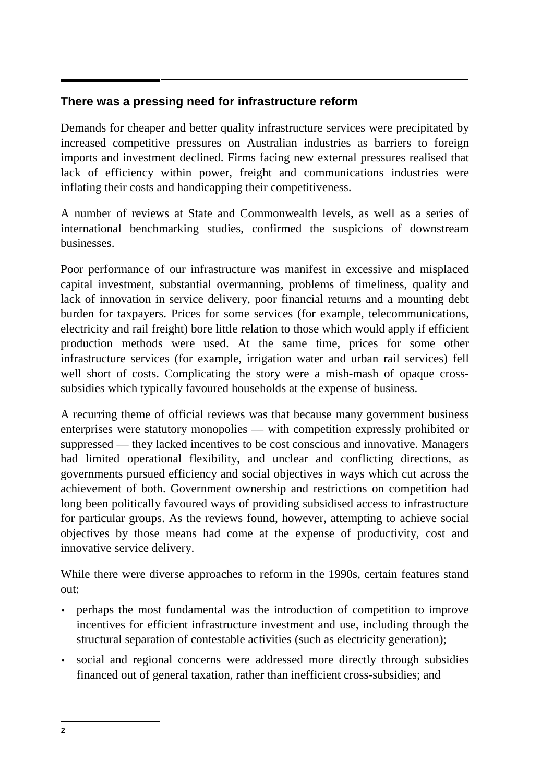### **There was a pressing need for infrastructure reform**

Demands for cheaper and better quality infrastructure services were precipitated by increased competitive pressures on Australian industries as barriers to foreign imports and investment declined. Firms facing new external pressures realised that lack of efficiency within power, freight and communications industries were inflating their costs and handicapping their competitiveness.

A number of reviews at State and Commonwealth levels, as well as a series of international benchmarking studies, confirmed the suspicions of downstream businesses.

Poor performance of our infrastructure was manifest in excessive and misplaced capital investment, substantial overmanning, problems of timeliness, quality and lack of innovation in service delivery, poor financial returns and a mounting debt burden for taxpayers. Prices for some services (for example, telecommunications, electricity and rail freight) bore little relation to those which would apply if efficient production methods were used. At the same time, prices for some other infrastructure services (for example, irrigation water and urban rail services) fell well short of costs. Complicating the story were a mish-mash of opaque crosssubsidies which typically favoured households at the expense of business.

A recurring theme of official reviews was that because many government business enterprises were statutory monopolies — with competition expressly prohibited or suppressed — they lacked incentives to be cost conscious and innovative. Managers had limited operational flexibility, and unclear and conflicting directions, as governments pursued efficiency and social objectives in ways which cut across the achievement of both. Government ownership and restrictions on competition had long been politically favoured ways of providing subsidised access to infrastructure for particular groups. As the reviews found, however, attempting to achieve social objectives by those means had come at the expense of productivity, cost and innovative service delivery.

While there were diverse approaches to reform in the 1990s, certain features stand out:

- perhaps the most fundamental was the introduction of competition to improve incentives for efficient infrastructure investment and use, including through the structural separation of contestable activities (such as electricity generation);
- social and regional concerns were addressed more directly through subsidies financed out of general taxation, rather than inefficient cross-subsidies; and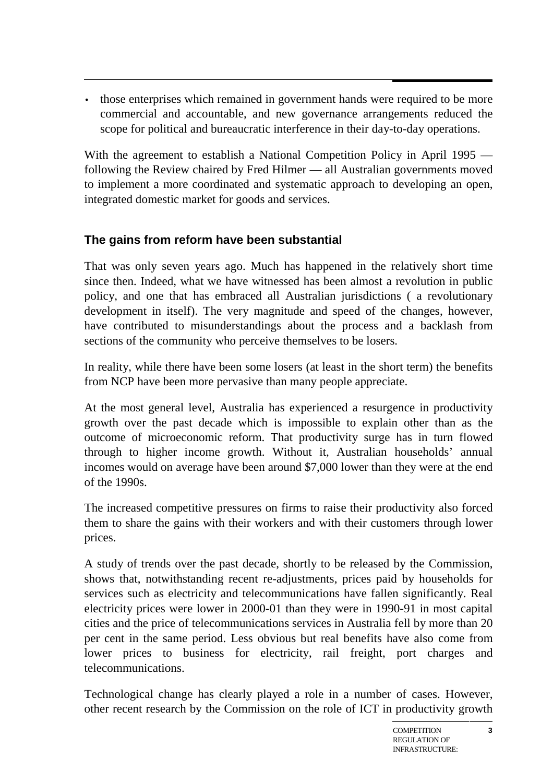• those enterprises which remained in government hands were required to be more commercial and accountable, and new governance arrangements reduced the scope for political and bureaucratic interference in their day-to-day operations.

With the agreement to establish a National Competition Policy in April 1995 following the Review chaired by Fred Hilmer — all Australian governments moved to implement a more coordinated and systematic approach to developing an open, integrated domestic market for goods and services.

# **The gains from reform have been substantial**

That was only seven years ago. Much has happened in the relatively short time since then. Indeed, what we have witnessed has been almost a revolution in public policy, and one that has embraced all Australian jurisdictions ( a revolutionary development in itself). The very magnitude and speed of the changes, however, have contributed to misunderstandings about the process and a backlash from sections of the community who perceive themselves to be losers.

In reality, while there have been some losers (at least in the short term) the benefits from NCP have been more pervasive than many people appreciate.

At the most general level, Australia has experienced a resurgence in productivity growth over the past decade which is impossible to explain other than as the outcome of microeconomic reform. That productivity surge has in turn flowed through to higher income growth. Without it, Australian households' annual incomes would on average have been around \$7,000 lower than they were at the end of the 1990s.

The increased competitive pressures on firms to raise their productivity also forced them to share the gains with their workers and with their customers through lower prices.

A study of trends over the past decade, shortly to be released by the Commission, shows that, notwithstanding recent re-adjustments, prices paid by households for services such as electricity and telecommunications have fallen significantly. Real electricity prices were lower in 2000-01 than they were in 1990-91 in most capital cities and the price of telecommunications services in Australia fell by more than 20 per cent in the same period. Less obvious but real benefits have also come from lower prices to business for electricity, rail freight, port charges and telecommunications.

Technological change has clearly played a role in a number of cases. However, other recent research by the Commission on the role of ICT in productivity growth

HAVE WE GOT THE

**3**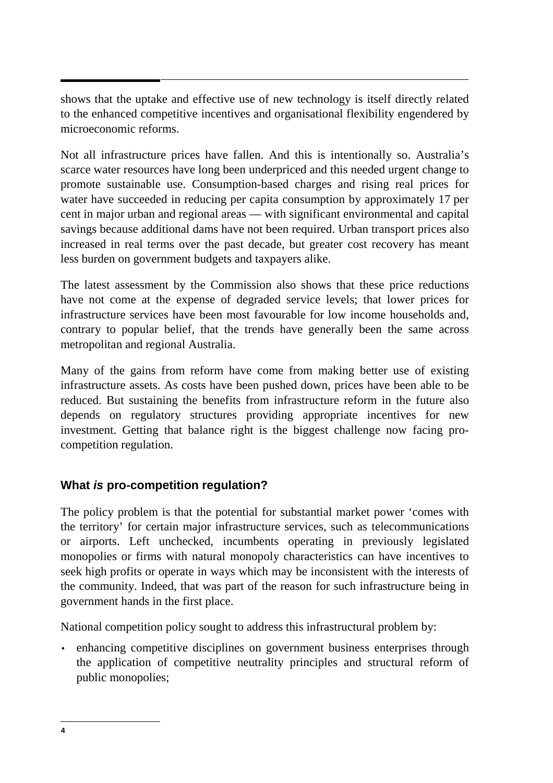shows that the uptake and effective use of new technology is itself directly related to the enhanced competitive incentives and organisational flexibility engendered by microeconomic reforms.

Not all infrastructure prices have fallen. And this is intentionally so. Australia's scarce water resources have long been underpriced and this needed urgent change to promote sustainable use. Consumption-based charges and rising real prices for water have succeeded in reducing per capita consumption by approximately 17 per cent in major urban and regional areas — with significant environmental and capital savings because additional dams have not been required. Urban transport prices also increased in real terms over the past decade, but greater cost recovery has meant less burden on government budgets and taxpayers alike.

The latest assessment by the Commission also shows that these price reductions have not come at the expense of degraded service levels; that lower prices for infrastructure services have been most favourable for low income households and, contrary to popular belief, that the trends have generally been the same across metropolitan and regional Australia.

Many of the gains from reform have come from making better use of existing infrastructure assets. As costs have been pushed down, prices have been able to be reduced. But sustaining the benefits from infrastructure reform in the future also depends on regulatory structures providing appropriate incentives for new investment. Getting that balance right is the biggest challenge now facing procompetition regulation.

# **What is pro-competition regulation?**

The policy problem is that the potential for substantial market power 'comes with the territory' for certain major infrastructure services, such as telecommunications or airports. Left unchecked, incumbents operating in previously legislated monopolies or firms with natural monopoly characteristics can have incentives to seek high profits or operate in ways which may be inconsistent with the interests of the community. Indeed, that was part of the reason for such infrastructure being in government hands in the first place.

National competition policy sought to address this infrastructural problem by:

• enhancing competitive disciplines on government business enterprises through the application of competitive neutrality principles and structural reform of public monopolies;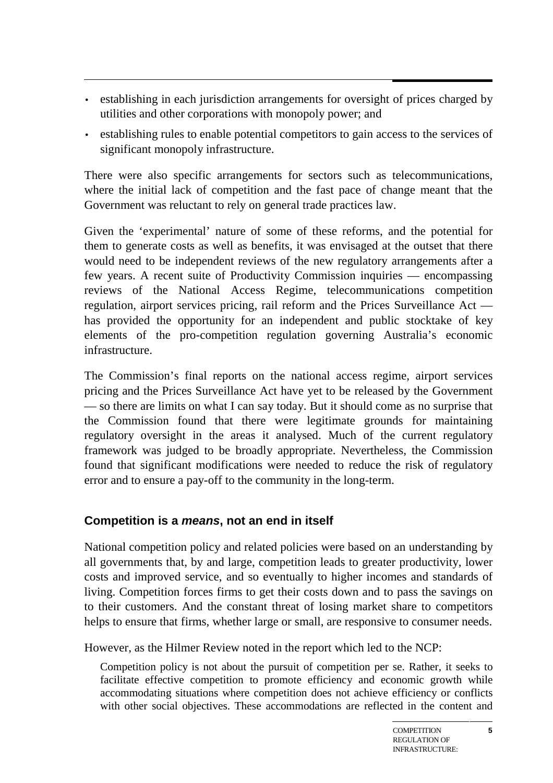- establishing in each jurisdiction arrangements for oversight of prices charged by utilities and other corporations with monopoly power; and
- establishing rules to enable potential competitors to gain access to the services of significant monopoly infrastructure.

There were also specific arrangements for sectors such as telecommunications, where the initial lack of competition and the fast pace of change meant that the Government was reluctant to rely on general trade practices law.

Given the 'experimental' nature of some of these reforms, and the potential for them to generate costs as well as benefits, it was envisaged at the outset that there would need to be independent reviews of the new regulatory arrangements after a few years. A recent suite of Productivity Commission inquiries — encompassing reviews of the National Access Regime, telecommunications competition regulation, airport services pricing, rail reform and the Prices Surveillance Act has provided the opportunity for an independent and public stocktake of key elements of the pro-competition regulation governing Australia's economic infrastructure.

The Commission's final reports on the national access regime, airport services pricing and the Prices Surveillance Act have yet to be released by the Government — so there are limits on what I can say today. But it should come as no surprise that the Commission found that there were legitimate grounds for maintaining regulatory oversight in the areas it analysed. Much of the current regulatory framework was judged to be broadly appropriate. Nevertheless, the Commission found that significant modifications were needed to reduce the risk of regulatory error and to ensure a pay-off to the community in the long-term.

#### **Competition is a means, not an end in itself**

National competition policy and related policies were based on an understanding by all governments that, by and large, competition leads to greater productivity, lower costs and improved service, and so eventually to higher incomes and standards of living. Competition forces firms to get their costs down and to pass the savings on to their customers. And the constant threat of losing market share to competitors helps to ensure that firms, whether large or small, are responsive to consumer needs.

However, as the Hilmer Review noted in the report which led to the NCP:

Competition policy is not about the pursuit of competition per se. Rather, it seeks to facilitate effective competition to promote efficiency and economic growth while accommodating situations where competition does not achieve efficiency or conflicts with other social objectives. These accommodations are reflected in the content and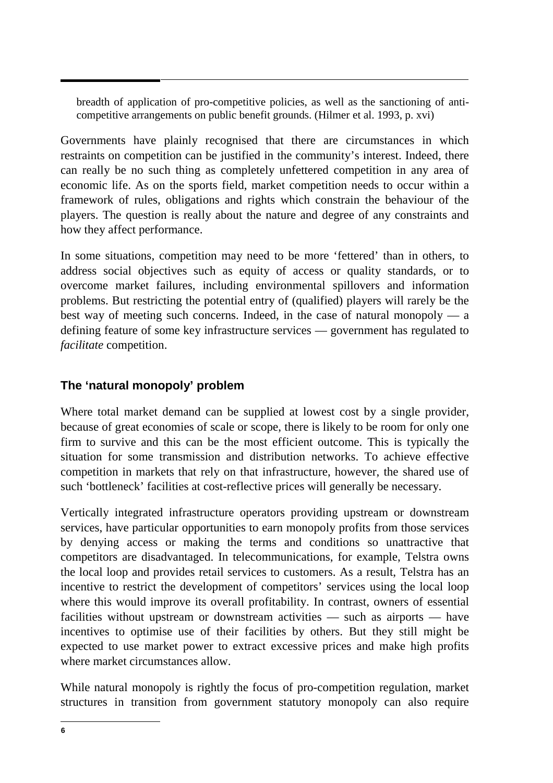breadth of application of pro-competitive policies, as well as the sanctioning of anticompetitive arrangements on public benefit grounds. (Hilmer et al. 1993, p. xvi)

Governments have plainly recognised that there are circumstances in which restraints on competition can be justified in the community's interest. Indeed, there can really be no such thing as completely unfettered competition in any area of economic life. As on the sports field, market competition needs to occur within a framework of rules, obligations and rights which constrain the behaviour of the players. The question is really about the nature and degree of any constraints and how they affect performance.

In some situations, competition may need to be more 'fettered' than in others, to address social objectives such as equity of access or quality standards, or to overcome market failures, including environmental spillovers and information problems. But restricting the potential entry of (qualified) players will rarely be the best way of meeting such concerns. Indeed, in the case of natural monopoly — a defining feature of some key infrastructure services — government has regulated to *facilitate* competition.

#### **The 'natural monopoly' problem**

Where total market demand can be supplied at lowest cost by a single provider, because of great economies of scale or scope, there is likely to be room for only one firm to survive and this can be the most efficient outcome. This is typically the situation for some transmission and distribution networks. To achieve effective competition in markets that rely on that infrastructure, however, the shared use of such 'bottleneck' facilities at cost-reflective prices will generally be necessary.

Vertically integrated infrastructure operators providing upstream or downstream services, have particular opportunities to earn monopoly profits from those services by denying access or making the terms and conditions so unattractive that competitors are disadvantaged. In telecommunications, for example, Telstra owns the local loop and provides retail services to customers. As a result, Telstra has an incentive to restrict the development of competitors' services using the local loop where this would improve its overall profitability. In contrast, owners of essential facilities without upstream or downstream activities — such as airports — have incentives to optimise use of their facilities by others. But they still might be expected to use market power to extract excessive prices and make high profits where market circumstances allow.

While natural monopoly is rightly the focus of pro-competition regulation, market structures in transition from government statutory monopoly can also require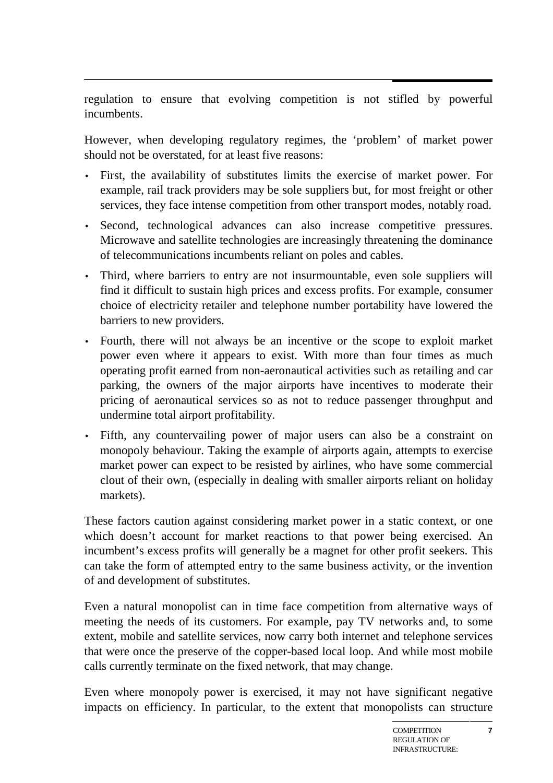regulation to ensure that evolving competition is not stifled by powerful incumbents.

However, when developing regulatory regimes, the 'problem' of market power should not be overstated, for at least five reasons:

- First, the availability of substitutes limits the exercise of market power. For example, rail track providers may be sole suppliers but, for most freight or other services, they face intense competition from other transport modes, notably road.
- Second, technological advances can also increase competitive pressures. Microwave and satellite technologies are increasingly threatening the dominance of telecommunications incumbents reliant on poles and cables.
- Third, where barriers to entry are not insurmountable, even sole suppliers will find it difficult to sustain high prices and excess profits. For example, consumer choice of electricity retailer and telephone number portability have lowered the barriers to new providers.
- Fourth, there will not always be an incentive or the scope to exploit market power even where it appears to exist. With more than four times as much operating profit earned from non-aeronautical activities such as retailing and car parking, the owners of the major airports have incentives to moderate their pricing of aeronautical services so as not to reduce passenger throughput and undermine total airport profitability.
- Fifth, any countervailing power of major users can also be a constraint on monopoly behaviour. Taking the example of airports again, attempts to exercise market power can expect to be resisted by airlines, who have some commercial clout of their own, (especially in dealing with smaller airports reliant on holiday markets).

These factors caution against considering market power in a static context, or one which doesn't account for market reactions to that power being exercised. An incumbent's excess profits will generally be a magnet for other profit seekers. This can take the form of attempted entry to the same business activity, or the invention of and development of substitutes.

Even a natural monopolist can in time face competition from alternative ways of meeting the needs of its customers. For example, pay TV networks and, to some extent, mobile and satellite services, now carry both internet and telephone services that were once the preserve of the copper-based local loop. And while most mobile calls currently terminate on the fixed network, that may change.

Even where monopoly power is exercised, it may not have significant negative impacts on efficiency. In particular, to the extent that monopolists can structure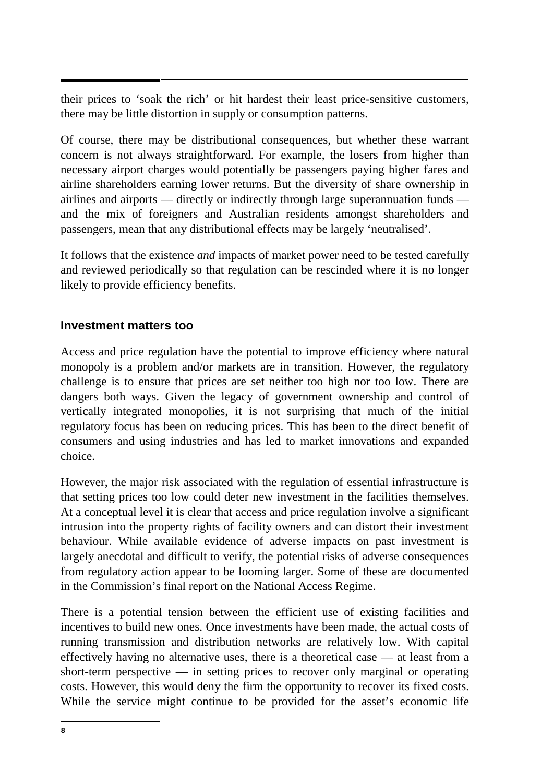their prices to 'soak the rich' or hit hardest their least price-sensitive customers, there may be little distortion in supply or consumption patterns.

Of course, there may be distributional consequences, but whether these warrant concern is not always straightforward. For example, the losers from higher than necessary airport charges would potentially be passengers paying higher fares and airline shareholders earning lower returns. But the diversity of share ownership in airlines and airports — directly or indirectly through large superannuation funds and the mix of foreigners and Australian residents amongst shareholders and passengers, mean that any distributional effects may be largely 'neutralised'.

It follows that the existence *and* impacts of market power need to be tested carefully and reviewed periodically so that regulation can be rescinded where it is no longer likely to provide efficiency benefits.

#### **Investment matters too**

Access and price regulation have the potential to improve efficiency where natural monopoly is a problem and/or markets are in transition. However, the regulatory challenge is to ensure that prices are set neither too high nor too low. There are dangers both ways. Given the legacy of government ownership and control of vertically integrated monopolies, it is not surprising that much of the initial regulatory focus has been on reducing prices. This has been to the direct benefit of consumers and using industries and has led to market innovations and expanded choice.

However, the major risk associated with the regulation of essential infrastructure is that setting prices too low could deter new investment in the facilities themselves. At a conceptual level it is clear that access and price regulation involve a significant intrusion into the property rights of facility owners and can distort their investment behaviour. While available evidence of adverse impacts on past investment is largely anecdotal and difficult to verify, the potential risks of adverse consequences from regulatory action appear to be looming larger. Some of these are documented in the Commission's final report on the National Access Regime.

There is a potential tension between the efficient use of existing facilities and incentives to build new ones. Once investments have been made, the actual costs of running transmission and distribution networks are relatively low. With capital effectively having no alternative uses, there is a theoretical case — at least from a short-term perspective  $\frac{1}{x}$  in setting prices to recover only marginal or operating costs. However, this would deny the firm the opportunity to recover its fixed costs. While the service might continue to be provided for the asset's economic life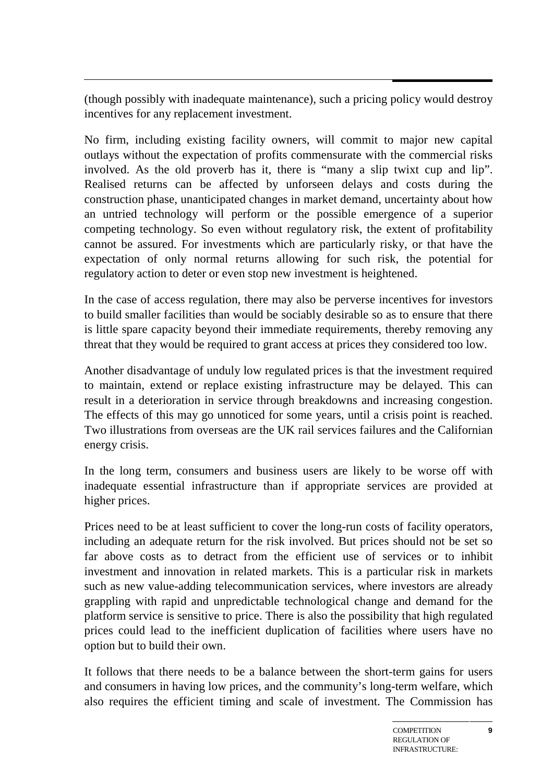(though possibly with inadequate maintenance), such a pricing policy would destroy incentives for any replacement investment.

No firm, including existing facility owners, will commit to major new capital outlays without the expectation of profits commensurate with the commercial risks involved. As the old proverb has it, there is "many a slip twixt cup and lip". Realised returns can be affected by unforseen delays and costs during the construction phase, unanticipated changes in market demand, uncertainty about how an untried technology will perform or the possible emergence of a superior competing technology. So even without regulatory risk, the extent of profitability cannot be assured. For investments which are particularly risky, or that have the expectation of only normal returns allowing for such risk, the potential for regulatory action to deter or even stop new investment is heightened.

In the case of access regulation, there may also be perverse incentives for investors to build smaller facilities than would be sociably desirable so as to ensure that there is little spare capacity beyond their immediate requirements, thereby removing any threat that they would be required to grant access at prices they considered too low.

Another disadvantage of unduly low regulated prices is that the investment required to maintain, extend or replace existing infrastructure may be delayed. This can result in a deterioration in service through breakdowns and increasing congestion. The effects of this may go unnoticed for some years, until a crisis point is reached. Two illustrations from overseas are the UK rail services failures and the Californian energy crisis.

In the long term, consumers and business users are likely to be worse off with inadequate essential infrastructure than if appropriate services are provided at higher prices.

Prices need to be at least sufficient to cover the long-run costs of facility operators, including an adequate return for the risk involved. But prices should not be set so far above costs as to detract from the efficient use of services or to inhibit investment and innovation in related markets. This is a particular risk in markets such as new value-adding telecommunication services, where investors are already grappling with rapid and unpredictable technological change and demand for the platform service is sensitive to price. There is also the possibility that high regulated prices could lead to the inefficient duplication of facilities where users have no option but to build their own.

It follows that there needs to be a balance between the short-term gains for users and consumers in having low prices, and the community's long-term welfare, which also requires the efficient timing and scale of investment. The Commission has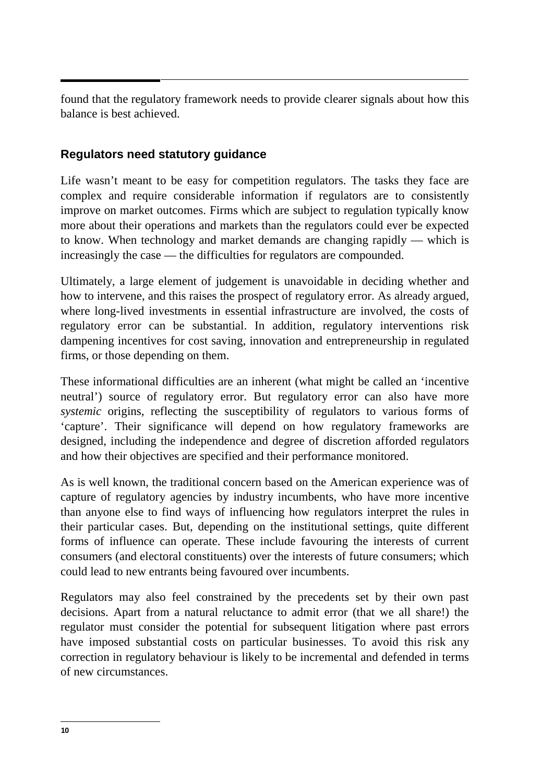found that the regulatory framework needs to provide clearer signals about how this balance is best achieved.

#### **Regulators need statutory guidance**

Life wasn't meant to be easy for competition regulators. The tasks they face are complex and require considerable information if regulators are to consistently improve on market outcomes. Firms which are subject to regulation typically know more about their operations and markets than the regulators could ever be expected to know. When technology and market demands are changing rapidly — which is increasingly the case — the difficulties for regulators are compounded.

Ultimately, a large element of judgement is unavoidable in deciding whether and how to intervene, and this raises the prospect of regulatory error. As already argued, where long-lived investments in essential infrastructure are involved, the costs of regulatory error can be substantial. In addition, regulatory interventions risk dampening incentives for cost saving, innovation and entrepreneurship in regulated firms, or those depending on them.

These informational difficulties are an inherent (what might be called an 'incentive neutral') source of regulatory error. But regulatory error can also have more *systemic* origins, reflecting the susceptibility of regulators to various forms of 'capture'. Their significance will depend on how regulatory frameworks are designed, including the independence and degree of discretion afforded regulators and how their objectives are specified and their performance monitored.

As is well known, the traditional concern based on the American experience was of capture of regulatory agencies by industry incumbents, who have more incentive than anyone else to find ways of influencing how regulators interpret the rules in their particular cases. But, depending on the institutional settings, quite different forms of influence can operate. These include favouring the interests of current consumers (and electoral constituents) over the interests of future consumers; which could lead to new entrants being favoured over incumbents.

Regulators may also feel constrained by the precedents set by their own past decisions. Apart from a natural reluctance to admit error (that we all share!) the regulator must consider the potential for subsequent litigation where past errors have imposed substantial costs on particular businesses. To avoid this risk any correction in regulatory behaviour is likely to be incremental and defended in terms of new circumstances.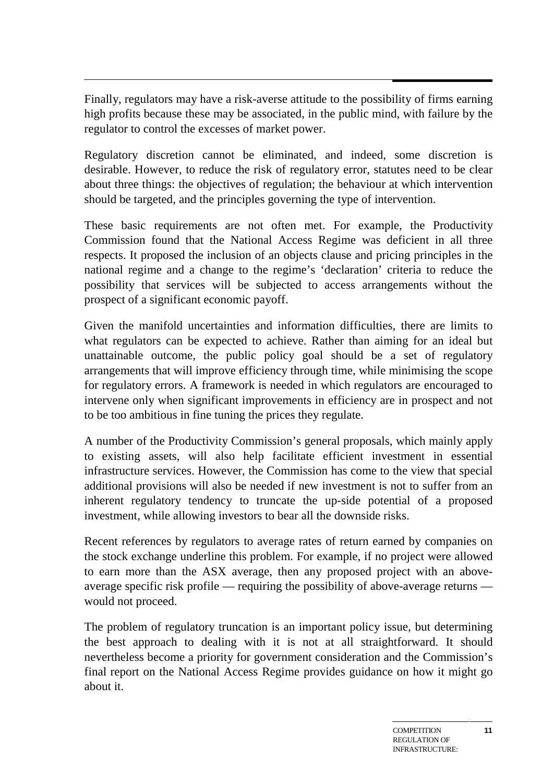Finally, regulators may have a risk-averse attitude to the possibility of firms earning high profits because these may be associated, in the public mind, with failure by the regulator to control the excesses of market power.

Regulatory discretion cannot be eliminated, and indeed, some discretion is desirable. However, to reduce the risk of regulatory error, statutes need to be clear about three things: the objectives of regulation; the behaviour at which intervention should be targeted, and the principles governing the type of intervention.

These basic requirements are not often met. For example, the Productivity Commission found that the National Access Regime was deficient in all three respects. It proposed the inclusion of an objects clause and pricing principles in the national regime and a change to the regime's 'declaration' criteria to reduce the possibility that services will be subjected to access arrangements without the prospect of a significant economic payoff.

Given the manifold uncertainties and information difficulties, there are limits to what regulators can be expected to achieve. Rather than aiming for an ideal but unattainable outcome, the public policy goal should be a set of regulatory arrangements that will improve efficiency through time, while minimising the scope for regulatory errors. A framework is needed in which regulators are encouraged to intervene only when significant improvements in efficiency are in prospect and not to be too ambitious in fine tuning the prices they regulate.

A number of the Productivity Commission's general proposals, which mainly apply to existing assets, will also help facilitate efficient investment in essential infrastructure services. However, the Commission has come to the view that special additional provisions will also be needed if new investment is not to suffer from an inherent regulatory tendency to truncate the up-side potential of a proposed investment, while allowing investors to bear all the downside risks.

Recent references by regulators to average rates of return earned by companies on the stock exchange underline this problem. For example, if no project were allowed to earn more than the ASX average, then any proposed project with an aboveaverage specific risk profile — requiring the possibility of above-average returns would not proceed.

The problem of regulatory truncation is an important policy issue, but determining the best approach to dealing with it is not at all straightforward. It should nevertheless become a priority for government consideration and the Commission's final report on the National Access Regime provides guidance on how it might go about it.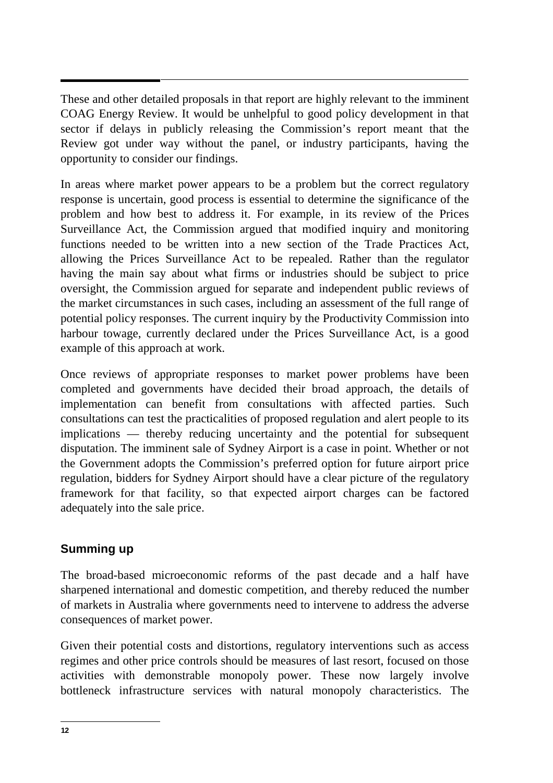These and other detailed proposals in that report are highly relevant to the imminent COAG Energy Review. It would be unhelpful to good policy development in that sector if delays in publicly releasing the Commission's report meant that the Review got under way without the panel, or industry participants, having the opportunity to consider our findings.

In areas where market power appears to be a problem but the correct regulatory response is uncertain, good process is essential to determine the significance of the problem and how best to address it. For example, in its review of the Prices Surveillance Act, the Commission argued that modified inquiry and monitoring functions needed to be written into a new section of the Trade Practices Act, allowing the Prices Surveillance Act to be repealed. Rather than the regulator having the main say about what firms or industries should be subject to price oversight, the Commission argued for separate and independent public reviews of the market circumstances in such cases, including an assessment of the full range of potential policy responses. The current inquiry by the Productivity Commission into harbour towage, currently declared under the Prices Surveillance Act, is a good example of this approach at work.

Once reviews of appropriate responses to market power problems have been completed and governments have decided their broad approach, the details of implementation can benefit from consultations with affected parties. Such consultations can test the practicalities of proposed regulation and alert people to its implications — thereby reducing uncertainty and the potential for subsequent disputation. The imminent sale of Sydney Airport is a case in point. Whether or not the Government adopts the Commission's preferred option for future airport price regulation, bidders for Sydney Airport should have a clear picture of the regulatory framework for that facility, so that expected airport charges can be factored adequately into the sale price.

#### **Summing up**

The broad-based microeconomic reforms of the past decade and a half have sharpened international and domestic competition, and thereby reduced the number of markets in Australia where governments need to intervene to address the adverse consequences of market power.

Given their potential costs and distortions, regulatory interventions such as access regimes and other price controls should be measures of last resort, focused on those activities with demonstrable monopoly power. These now largely involve bottleneck infrastructure services with natural monopoly characteristics. The